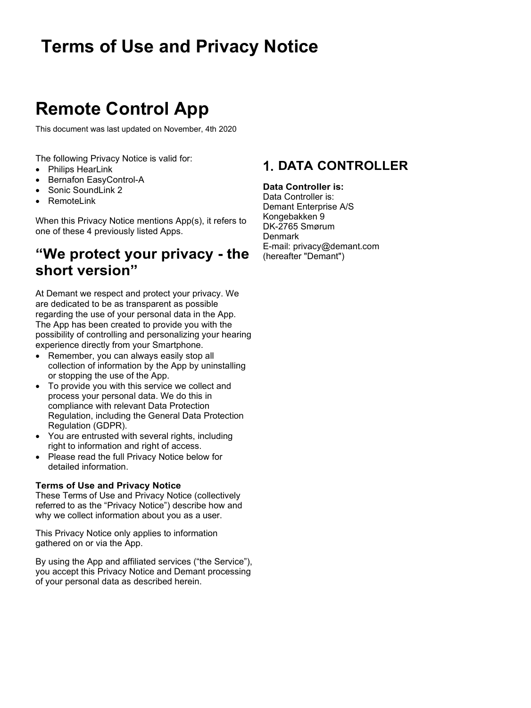# **Remote Control App**

This document was last updated on November, 4th 2020

The following Privacy Notice is valid for:

- Philips HearLink
- Bernafon EasyControl-A
- Sonic SoundLink 2
- **RemoteLink**

When this Privacy Notice mentions App(s), it refers to one of these 4 previously listed Apps.

### **"We protect your privacy - the short version"**

At Demant we respect and protect your privacy. We are dedicated to be as transparent as possible regarding the use of your personal data in the App. The App has been created to provide you with the possibility of controlling and personalizing your hearing experience directly from your Smartphone.

- Remember, you can always easily stop all collection of information by the App by uninstalling or stopping the use of the App.
- To provide you with this service we collect and process your personal data. We do this in compliance with relevant Data Protection Regulation, including the General Data Protection Regulation (GDPR).
- You are entrusted with several rights, including right to information and right of access.
- Please read the full Privacy Notice below for detailed information.

#### **Terms of Use and Privacy Notice**

These Terms of Use and Privacy Notice (collectively referred to as the "Privacy Notice") describe how and why we collect information about you as a user.

This Privacy Notice only applies to information gathered on or via the App.

By using the App and affiliated services ("the Service"), you accept this Privacy Notice and Demant processing of your personal data as described herein.

### **DATA CONTROLLER**

#### **Data Controller is:**

Data Controller is: Demant Enterprise A/S Kongebakken 9 DK-2765 Smørum **Denmark** E-mail: privacy@demant.com (hereafter "Demant")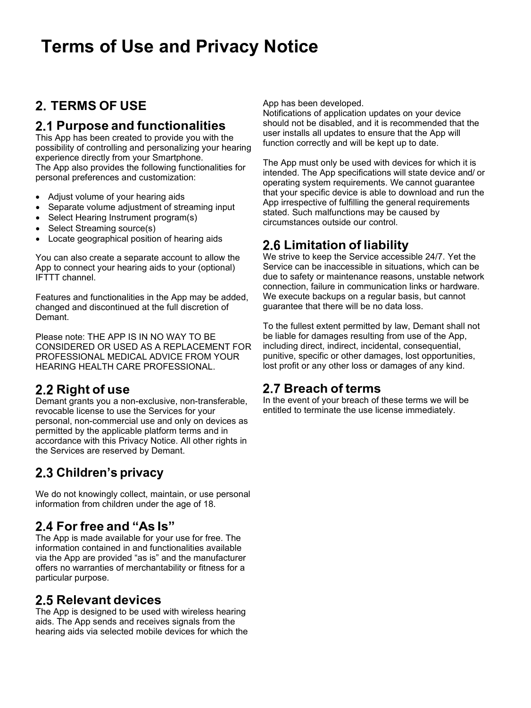### **TERMS OF USE**

#### **Purpose and functionalities**

This App has been created to provide you with the possibility of controlling and personalizing your hearing experience directly from your Smartphone.

The App also provides the following functionalities for personal preferences and customization:

- Adjust volume of your hearing aids
- Separate volume adjustment of streaming input
- Select Hearing Instrument program(s)
- Select Streaming source(s)
- Locate geographical position of hearing aids

You can also create a separate account to allow the App to connect your hearing aids to your (optional) IFTTT channel.

Features and functionalities in the App may be added, changed and discontinued at the full discretion of Demant.

Please note: THE APP IS IN NO WAY TO BE CONSIDERED OR USED AS A REPLACEMENT FOR PROFESSIONAL MEDICAL ADVICE FROM YOUR HEARING HEALTH CARE PROFESSIONAL.

### **Right of use**

Demant grants you a non-exclusive, non-transferable, revocable license to use the Services for your personal, non-commercial use and only on devices as permitted by the applicable platform terms and in accordance with this Privacy Notice. All other rights in the Services are reserved by Demant.

### **Children's privacy**

We do not knowingly collect, maintain, or use personal information from children under the age of 18.

### **For free and "As Is"**

The App is made available for your use for free. The information contained in and functionalities available via the App are provided "as is" and the manufacturer offers no warranties of merchantability or fitness for a particular purpose.

#### **Relevant devices**

The App is designed to be used with wireless hearing aids. The App sends and receives signals from the hearing aids via selected mobile devices for which the App has been developed.

Notifications of application updates on your device should not be disabled, and it is recommended that the user installs all updates to ensure that the App will function correctly and will be kept up to date.

The App must only be used with devices for which it is intended. The App specifications will state device and/ or operating system requirements. We cannot guarantee that your specific device is able to download and run the App irrespective of fulfilling the general requirements stated. Such malfunctions may be caused by circumstances outside our control.

#### **Limitation of liability**

We strive to keep the Service accessible 24/7. Yet the Service can be inaccessible in situations, which can be due to safety or maintenance reasons, unstable network connection, failure in communication links or hardware. We execute backups on a regular basis, but cannot guarantee that there will be no data loss.

To the fullest extent permitted by law, Demant shall not be liable for damages resulting from use of the App, including direct, indirect, incidental, consequential, punitive, specific or other damages, lost opportunities, lost profit or any other loss or damages of any kind.

#### **Breach of terms**

In the event of your breach of these terms we will be entitled to terminate the use license immediately.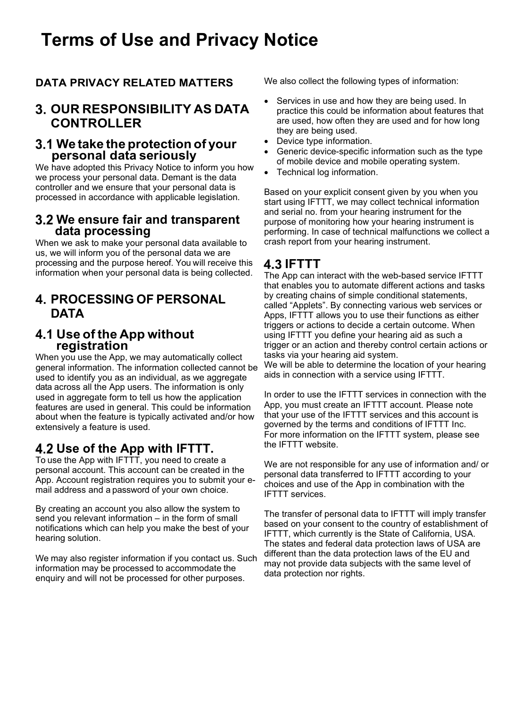#### **DATA PRIVACY RELATED MATTERS**

#### **OUR RESPONSIBILITY AS DATA CONTROLLER**

# **We take the protection of your personal data seriously**

We have adopted this Privacy Notice to inform you how we process your personal data. Demant is the data controller and we ensure that your personal data is processed in accordance with applicable legislation.

#### **We ensure fair and transparent data processing**

When we ask to make your personal data available to us, we will inform you of the personal data we are processing and the purpose hereof. You will receive this information when your personal data is being collected.

#### **PROCESSING OF PERSONAL DATA**

# **Use of the App without registration**

When you use the App, we may automatically collect general information. The information collected cannot be used to identify you as an individual, as we aggregate data across all the App users. The information is only used in aggregate form to tell us how the application features are used in general. This could be information about when the feature is typically activated and/or how extensively a feature is used.

### **Use of the App with IFTTT.**

To use the App with IFTTT, you need to create a personal account. This account can be created in the App. Account registration requires you to submit your email address and a password of your own choice.

By creating an account you also allow the system to send you relevant information – in the form of small notifications which can help you make the best of your hearing solution.

We may also register information if you contact us. Such information may be processed to accommodate the enquiry and will not be processed for other purposes.

We also collect the following types of information:

- Services in use and how they are being used. In practice this could be information about features that are used, how often they are used and for how long they are being used.
- Device type information.
- Generic device-specific information such as the type of mobile device and mobile operating system.
- Technical log information.

Based on your explicit consent given by you when you start using IFTTT, we may collect technical information and serial no. from your hearing instrument for the purpose of monitoring how your hearing instrument is performing. In case of technical malfunctions we collect a crash report from your hearing instrument.

#### **IFTTT**

The App can interact with the web-based service IFTTT that enables you to automate different actions and tasks by creating chains of simple conditional statements, called "Applets". By connecting various web services or Apps, IFTTT allows you to use their functions as either triggers or actions to decide a certain outcome. When using IFTTT you define your hearing aid as such a trigger or an action and thereby control certain actions or tasks via your hearing aid system. We will be able to determine the location of your hearing aids in connection with a service using IFTTT.

In order to use the IFTTT services in connection with the App, you must create an IFTTT account. Please note that your use of the IFTTT services and this account is governed by the terms and conditions of IFTTT Inc. For more information on the IFTTT system, please see the IFTTT website.

We are not responsible for any use of information and/ or personal data transferred to IFTTT according to your choices and use of the App in combination with the IFTTT services.

The transfer of personal data to IFTTT will imply transfer based on your consent to the country of establishment of IFTTT, which currently is the State of California, USA. The states and federal data protection laws of USA are different than the data protection laws of the EU and may not provide data subjects with the same level of data protection nor rights.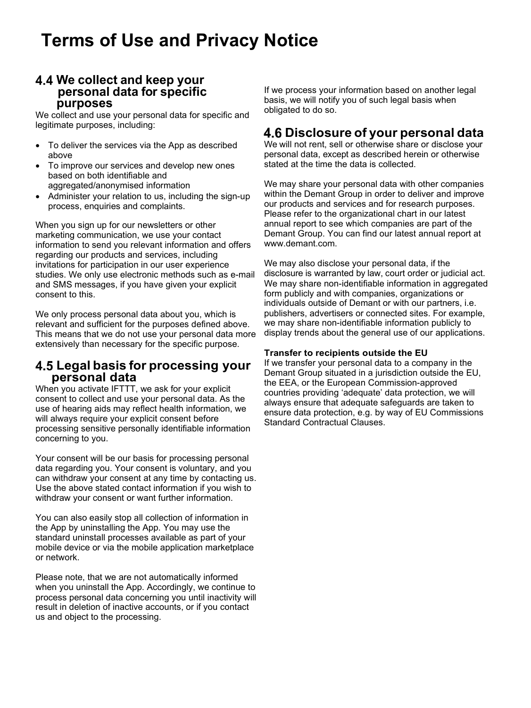# **We collect and keep your personal data for specific purposes**

We collect and use your personal data for specific and legitimate purposes, including:

- To deliver the services via the App as described above
- To improve our services and develop new ones based on both identifiable and aggregated/anonymised information
- Administer your relation to us, including the sign-up process, enquiries and complaints.

When you sign up for our newsletters or other marketing communication, we use your contact information to send you relevant information and offers regarding our products and services, including invitations for participation in our user experience studies. We only use electronic methods such as e-mail and SMS messages, if you have given your explicit consent to this.

We only process personal data about you, which is relevant and sufficient for the purposes defined above. This means that we do not use your personal data more extensively than necessary for the specific purpose.

# **Legal basis for processing your personal data**

When you activate IFTTT, we ask for your explicit consent to collect and use your personal data. As the use of hearing aids may reflect health information, we will always require your explicit consent before processing sensitive personally identifiable information concerning to you.

Your consent will be our basis for processing personal data regarding you. Your consent is voluntary, and you can withdraw your consent at any time by contacting us. Use the above stated contact information if you wish to withdraw your consent or want further information.

You can also easily stop all collection of information in the App by uninstalling the App. You may use the standard uninstall processes available as part of your mobile device or via the mobile application marketplace or network.

Please note, that we are not automatically informed when you uninstall the App. Accordingly, we continue to process personal data concerning you until inactivity will result in deletion of inactive accounts, or if you contact us and object to the processing.

If we process your information based on another legal basis, we will notify you of such legal basis when obligated to do so.

#### **Disclosure of your personal data**

We will not rent, sell or otherwise share or disclose your personal data, except as described herein or otherwise stated at the time the data is collected.

We may share your personal data with other companies within the Demant Group in order to deliver and improve our products and services and for research purposes. Please refer to the organizational chart in our latest annual report to see which companies are part of the Demant Group. You can find our latest annual report at [www.demant.com.](http://www.demant.com/)

We may also disclose your personal data, if the disclosure is warranted by law, court order or judicial act. We may share non-identifiable information in aggregated form publicly and with companies, organizations or individuals outside of Demant or with our partners, i.e. publishers, advertisers or connected sites. For example, we may share non-identifiable information publicly to display trends about the general use of our applications.

#### **Transfer to recipients outside the EU**

If we transfer your personal data to a company in the Demant Group situated in a jurisdiction outside the EU, the EEA, or the European Commission-approved countries providing 'adequate' data protection, we will always ensure that adequate safeguards are taken to ensure data protection, e.g. by way of EU Commissions Standard Contractual Clauses.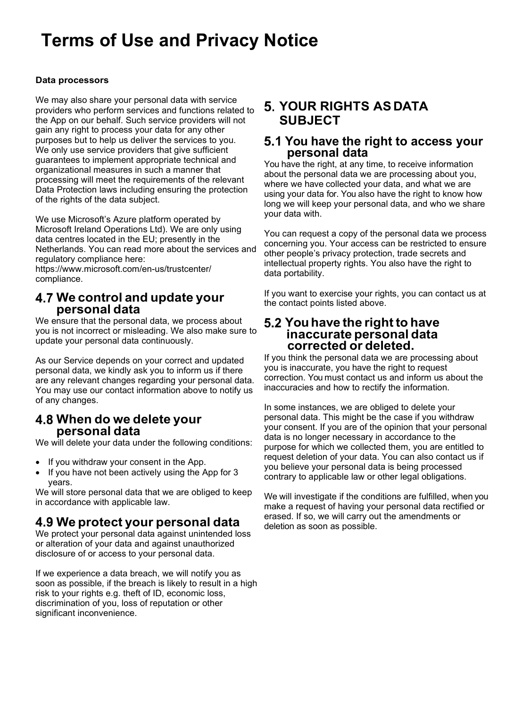#### **Data processors**

We may also share your personal data with service providers who perform services and functions related to the App on our behalf. Such service providers will not gain any right to process your data for any other purposes but to help us deliver the services to you. We only use service providers that give sufficient guarantees to implement appropriate technical and organizational measures in such a manner that processing will meet the requirements of the relevant Data Protection laws including ensuring the protection of the rights of the data subject.

We use Microsoft's Azure platform operated by Microsoft Ireland Operations Ltd). We are only using data centres located in the EU; presently in the Netherlands. You can read more about the services and regulatory compliance here:

[https://www.](http://www.microsoft.com/en-us/trustcenter/)mic[rosoft.com/en-us/trustcenter/](http://www.microsoft.com/en-us/trustcenter/) compliance.

# **We control and update your personal data**

We ensure that the personal data, we process about you is not incorrect or misleading. We also make sure to update your personal data continuously.

As our Service depends on your correct and updated personal data, we kindly ask you to inform us if there are any relevant changes regarding your personal data. You may use our contact information above to notify us of any changes.

# **When do we delete your personal data**

We will delete your data under the following conditions:

- If you withdraw your consent in the App.
- If you have not been actively using the App for 3 years.

We will store personal data that we are obliged to keep in accordance with applicable law.

### **We protect your personal data**

We protect your personal data against unintended loss or alteration of your data and against unauthorized disclosure of or access to your personal data.

If we experience a data breach, we will notify you as soon as possible, if the breach is likely to result in a high risk to your rights e.g. theft of ID, economic loss, discrimination of you, loss of reputation or other significant inconvenience.

#### **YOUR RIGHTS AS DATA SUBJECT**

# **You have the right to access your personal data**

You have the right, at any time, to receive information about the personal data we are processing about you, where we have collected your data, and what we are using your data for. You also have the right to know how long we will keep your personal data, and who we share your data with.

You can request a copy of the personal data we process concerning you. Your access can be restricted to ensure other people's privacy protection, trade secrets and intellectual property rights. You also have the right to data portability.

If you want to exercise your rights, you can contact us at the contact points listed above.

# **Youhave the right to have inaccurate personal data corrected or deleted.**

If you think the personal data we are processing about you is inaccurate, you have the right to request correction. You must contact us and inform us about the inaccuracies and how to rectify the information.

In some instances, we are obliged to delete your personal data. This might be the case if you withdraw your consent. If you are of the opinion that your personal data is no longer necessary in accordance to the purpose for which we collected them, you are entitled to request deletion of your data. You can also contact us if you believe your personal data is being processed contrary to applicable law or other legal obligations.

We will investigate if the conditions are fulfilled, when you make a request of having your personal data rectified or erased. If so, we will carry out the amendments or deletion as soon as possible.